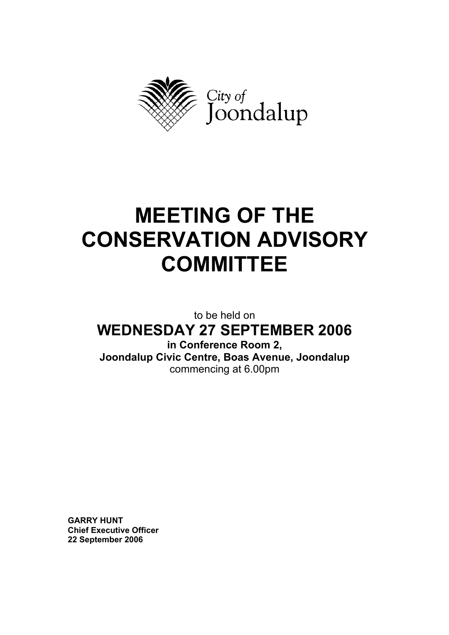

# **MEETING OF THE CONSERVATION ADVISORY COMMITTEE**

to be held on **WEDNESDAY 27 SEPTEMBER 2006** 

**in Conference Room 2, Joondalup Civic Centre, Boas Avenue, Joondalup**  commencing at 6.00pm

**GARRY HUNT Chief Executive Officer 22 September 2006**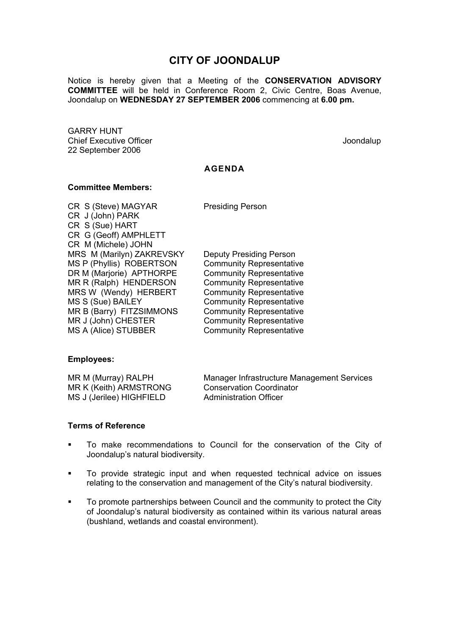# **CITY OF JOONDALUP**

Notice is hereby given that a Meeting of the **CONSERVATION ADVISORY COMMITTEE** will be held in Conference Room 2, Civic Centre, Boas Avenue, Joondalup on **WEDNESDAY 27 SEPTEMBER 2006** commencing at **6.00 pm.** 

GARRY HUNT Chief Executive Officer  $\Box$  Joondalup Joondalup 22 September 2006

#### **AGENDA**

#### **Committee Members:**

CR S (Steve) MAGYAR Presiding Person CR J (John) PARK CR S (Sue) HART CR G (Geoff) AMPHLETT CR M (Michele) JOHN MRS M (Marilyn) ZAKREVSKY Deputy Presiding Person MS P (Phyllis) ROBERTSON Community Representative DR M (Marjorie) APTHORPE Community Representative MR R (Ralph) HENDERSON Community Representative MRS W (Wendy) HERBERT Community Representative MS S (Sue) BAILEY Community Representative MR B (Barry) FITZSIMMONS Community Representative MR J (John) CHESTER Community Representative MS A (Alice) STUBBER Community Representative

# **Employees:**

| MR M (Murray) RALPH      | Manager Infrastructure Management Services |
|--------------------------|--------------------------------------------|
| MR K (Keith) ARMSTRONG   | <b>Conservation Coordinator</b>            |
| MS J (Jerilee) HIGHFIELD | <b>Administration Officer</b>              |

#### **Terms of Reference**

- To make recommendations to Council for the conservation of the City of Joondalup's natural biodiversity.
- To provide strategic input and when requested technical advice on issues relating to the conservation and management of the City's natural biodiversity.
- **To promote partnerships between Council and the community to protect the City** of Joondalup's natural biodiversity as contained within its various natural areas (bushland, wetlands and coastal environment).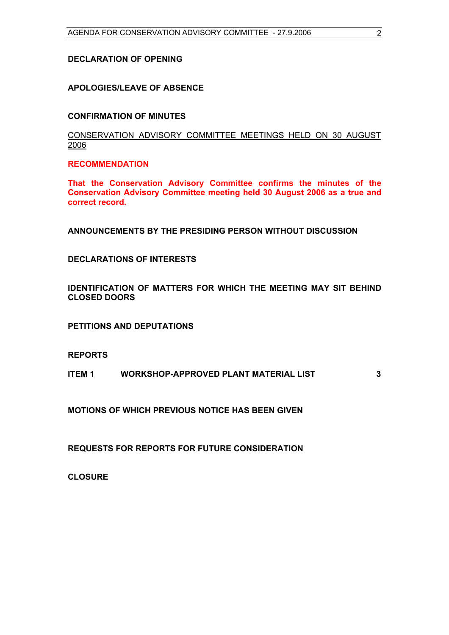#### **DECLARATION OF OPENING**

# **APOLOGIES/LEAVE OF ABSENCE**

#### **CONFIRMATION OF MINUTES**

## CONSERVATION ADVISORY COMMITTEE MEETINGS HELD ON 30 AUGUST 2006

#### **RECOMMENDATION**

**That the Conservation Advisory Committee confirms the minutes of the Conservation Advisory Committee meeting held 30 August 2006 as a true and correct record.** 

**ANNOUNCEMENTS BY THE PRESIDING PERSON WITHOUT DISCUSSION** 

#### **DECLARATIONS OF INTERESTS**

**IDENTIFICATION OF MATTERS FOR WHICH THE MEETING MAY SIT BEHIND CLOSED DOORS** 

**PETITIONS AND DEPUTATIONS** 

#### **REPORTS**

**ITEM 1 WORKSHOP-APPROVED PLANT MATERIAL LIST 3** 

**MOTIONS OF WHICH PREVIOUS NOTICE HAS BEEN GIVEN** 

**REQUESTS FOR REPORTS FOR FUTURE CONSIDERATION** 

**CLOSURE**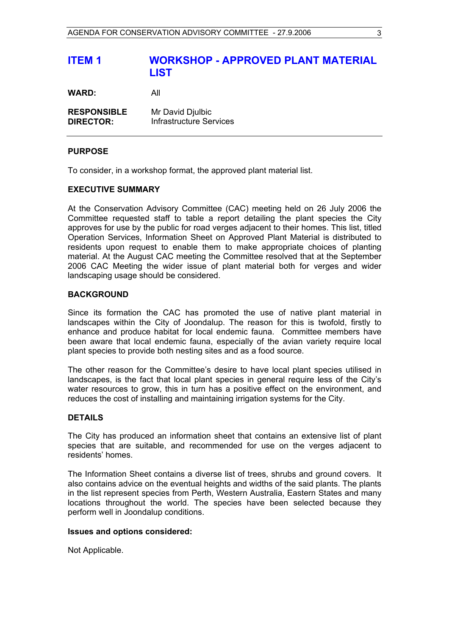# **ITEM 1 WORKSHOP - APPROVED PLANT MATERIAL LIST WARD:** All

**RESPONSIBLE** Mr David Djulbic **DIRECTOR:** Infrastructure Services

#### **PURPOSE**

To consider, in a workshop format, the approved plant material list.

#### **EXECUTIVE SUMMARY**

At the Conservation Advisory Committee (CAC) meeting held on 26 July 2006 the Committee requested staff to table a report detailing the plant species the City approves for use by the public for road verges adjacent to their homes. This list, titled Operation Services, Information Sheet on Approved Plant Material is distributed to residents upon request to enable them to make appropriate choices of planting material. At the August CAC meeting the Committee resolved that at the September 2006 CAC Meeting the wider issue of plant material both for verges and wider landscaping usage should be considered.

#### **BACKGROUND**

Since its formation the CAC has promoted the use of native plant material in landscapes within the City of Joondalup. The reason for this is twofold, firstly to enhance and produce habitat for local endemic fauna. Committee members have been aware that local endemic fauna, especially of the avian variety require local plant species to provide both nesting sites and as a food source.

The other reason for the Committee's desire to have local plant species utilised in landscapes, is the fact that local plant species in general require less of the City's water resources to grow, this in turn has a positive effect on the environment, and reduces the cost of installing and maintaining irrigation systems for the City.

# **DETAILS**

The City has produced an information sheet that contains an extensive list of plant species that are suitable, and recommended for use on the verges adjacent to residents' homes.

The Information Sheet contains a diverse list of trees, shrubs and ground covers. It also contains advice on the eventual heights and widths of the said plants. The plants in the list represent species from Perth, Western Australia, Eastern States and many locations throughout the world. The species have been selected because they perform well in Joondalup conditions.

#### **Issues and options considered:**

Not Applicable.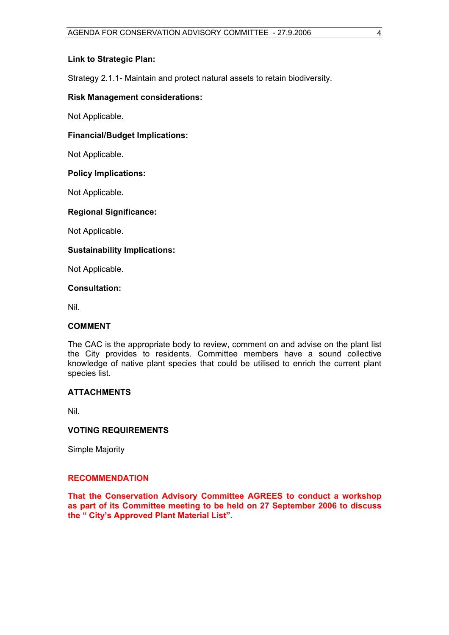#### **Link to Strategic Plan:**

Strategy 2.1.1- Maintain and protect natural assets to retain biodiversity.

#### **Risk Management considerations:**

Not Applicable.

#### **Financial/Budget Implications:**

Not Applicable.

#### **Policy Implications:**

Not Applicable.

# **Regional Significance:**

Not Applicable.

# **Sustainability Implications:**

Not Applicable.

#### **Consultation:**

Nil.

# **COMMENT**

The CAC is the appropriate body to review, comment on and advise on the plant list the City provides to residents. Committee members have a sound collective knowledge of native plant species that could be utilised to enrich the current plant species list.

#### **ATTACHMENTS**

Nil.

# **VOTING REQUIREMENTS**

Simple Majority

#### **RECOMMENDATION**

**That the Conservation Advisory Committee AGREES to conduct a workshop as part of its Committee meeting to be held on 27 September 2006 to discuss the " City's Approved Plant Material List".**